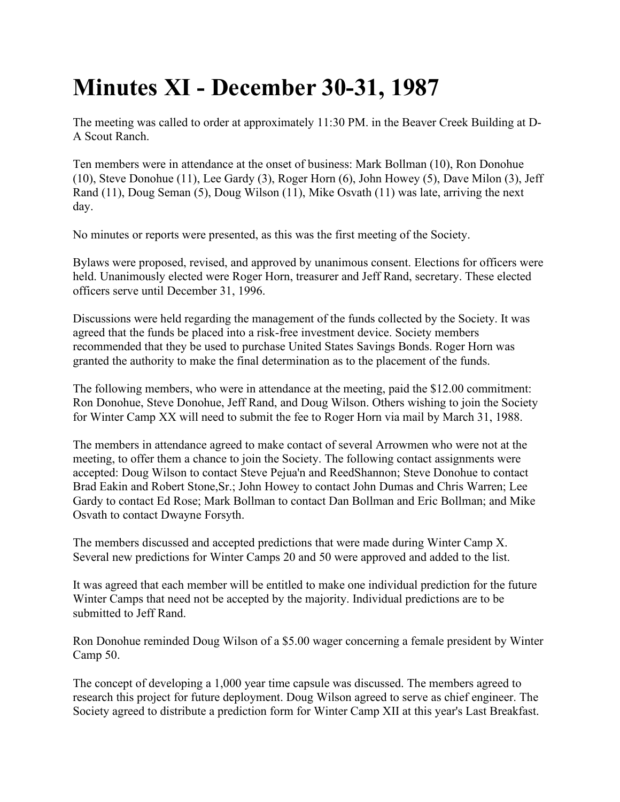## **Minutes XI - December 30-31, 1987**

The meeting was called to order at approximately 11:30 PM. in the Beaver Creek Building at D-A Scout Ranch.

Ten members were in attendance at the onset of business: Mark Bollman (10), Ron Donohue (10), Steve Donohue (11), Lee Gardy (3), Roger Horn (6), John Howey (5), Dave Milon (3), Jeff Rand (11), Doug Seman (5), Doug Wilson (11), Mike Osvath (11) was late, arriving the next day.

No minutes or reports were presented, as this was the first meeting of the Society.

Bylaws were proposed, revised, and approved by unanimous consent. Elections for officers were held. Unanimously elected were Roger Horn, treasurer and Jeff Rand, secretary. These elected officers serve until December 31, 1996.

Discussions were held regarding the management of the funds collected by the Society. It was agreed that the funds be placed into a risk-free investment device. Society members recommended that they be used to purchase United States Savings Bonds. Roger Horn was granted the authority to make the final determination as to the placement of the funds.

The following members, who were in attendance at the meeting, paid the \$12.00 commitment: Ron Donohue, Steve Donohue, Jeff Rand, and Doug Wilson. Others wishing to join the Society for Winter Camp XX will need to submit the fee to Roger Horn via mail by March 31, 1988.

The members in attendance agreed to make contact of several Arrowmen who were not at the meeting, to offer them a chance to join the Society. The following contact assignments were accepted: Doug Wilson to contact Steve Pejua'n and ReedShannon; Steve Donohue to contact Brad Eakin and Robert Stone,Sr.; John Howey to contact John Dumas and Chris Warren; Lee Gardy to contact Ed Rose; Mark Bollman to contact Dan Bollman and Eric Bollman; and Mike Osvath to contact Dwayne Forsyth.

The members discussed and accepted predictions that were made during Winter Camp X. Several new predictions for Winter Camps 20 and 50 were approved and added to the list.

It was agreed that each member will be entitled to make one individual prediction for the future Winter Camps that need not be accepted by the majority. Individual predictions are to be submitted to Jeff Rand.

Ron Donohue reminded Doug Wilson of a \$5.00 wager concerning a female president by Winter Camp 50.

The concept of developing a 1,000 year time capsule was discussed. The members agreed to research this project for future deployment. Doug Wilson agreed to serve as chief engineer. The Society agreed to distribute a prediction form for Winter Camp XII at this year's Last Breakfast.